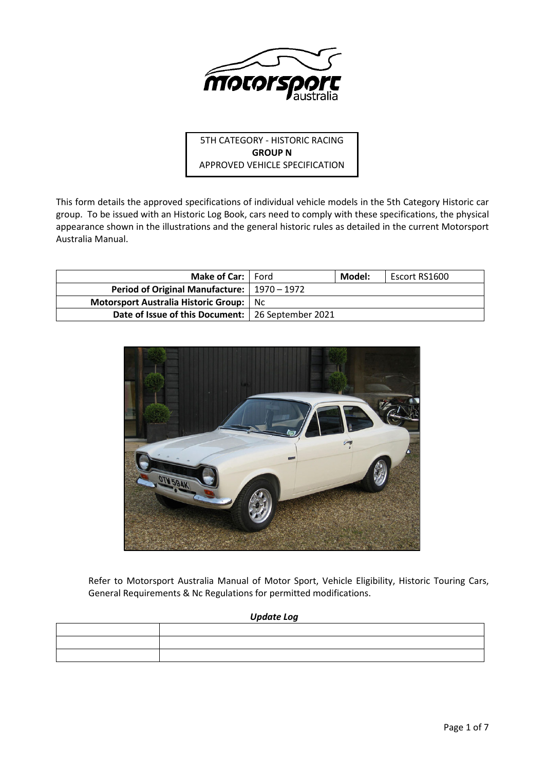

5TH CATEGORY - HISTORIC RACING **GROUP N** APPROVED VEHICLE SPECIFICATION

This form details the approved specifications of individual vehicle models in the 5th Category Historic car group. To be issued with an Historic Log Book, cars need to comply with these specifications, the physical appearance shown in the illustrations and the general historic rules as detailed in the current Motorsport Australia Manual.

| <b>Make of Car:</b> Ford                            |     | Model: | Escort RS1600 |
|-----------------------------------------------------|-----|--------|---------------|
| Period of Original Manufacture:   1970 – 1972       |     |        |               |
| Motorsport Australia Historic Group:                | Nc. |        |               |
| Date of Issue of this Document:   26 September 2021 |     |        |               |



Refer to Motorsport Australia Manual of Motor Sport, Vehicle Eligibility, Historic Touring Cars, General Requirements & Nc Regulations for permitted modifications.

## *Update Log*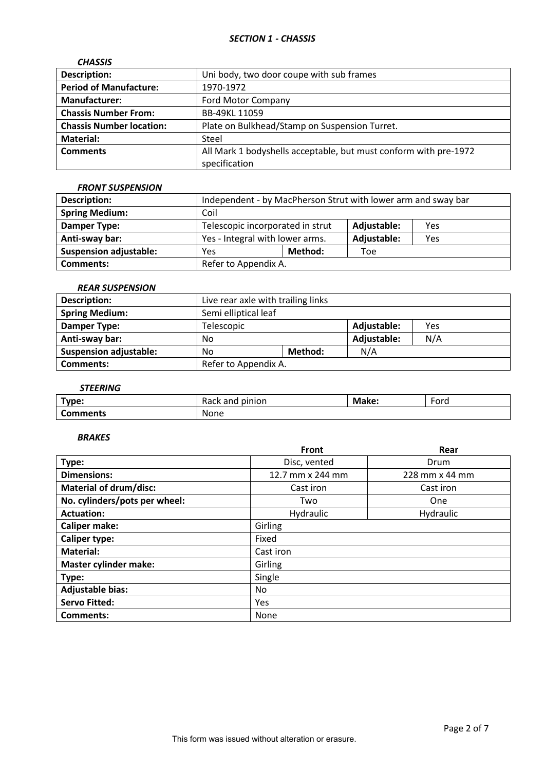# *SECTION 1 - CHASSIS*

| <b>CHASSIS</b>                  |                                                                  |
|---------------------------------|------------------------------------------------------------------|
| <b>Description:</b>             | Uni body, two door coupe with sub frames                         |
| <b>Period of Manufacture:</b>   | 1970-1972                                                        |
| <b>Manufacturer:</b>            | Ford Motor Company                                               |
| <b>Chassis Number From:</b>     | BB-49KL 11059                                                    |
| <b>Chassis Number location:</b> | Plate on Bulkhead/Stamp on Suspension Turret.                    |
| <b>Material:</b>                | Steel                                                            |
| <b>Comments</b>                 | All Mark 1 bodyshells acceptable, but must conform with pre-1972 |
|                                 | specification                                                    |

## *FRONT SUSPENSION*

| <b>Description:</b>           | Independent - by MacPherson Strut with lower arm and sway bar |         |             |     |
|-------------------------------|---------------------------------------------------------------|---------|-------------|-----|
| <b>Spring Medium:</b>         | Coil                                                          |         |             |     |
| Damper Type:                  | Telescopic incorporated in strut<br>Adjustable:<br>Yes        |         |             |     |
| Anti-sway bar:                | Yes - Integral with lower arms.                               |         | Adjustable: | Yes |
| <b>Suspension adjustable:</b> | Yes                                                           | Method: | Toe         |     |
| <b>Comments:</b>              | Refer to Appendix A.                                          |         |             |     |

## *REAR SUSPENSION*

| <b>Description:</b>           | Live rear axle with trailing links |         |             |     |
|-------------------------------|------------------------------------|---------|-------------|-----|
| <b>Spring Medium:</b>         | Semi elliptical leaf               |         |             |     |
| Damper Type:                  | Adjustable:<br>Telescopic<br>Yes   |         |             |     |
| Anti-sway bar:                | No                                 |         | Adjustable: | N/A |
| <b>Suspension adjustable:</b> | No                                 | Method: | N/A         |     |
| Comments:                     | Refer to Appendix A.               |         |             |     |

# *STEERING*

| Type:           | pinion<br>and<br>$\sim$<br>nach | Make: | $\overline{\phantom{0}}$<br>Ford |
|-----------------|---------------------------------|-------|----------------------------------|
| <b>Comments</b> | None                            |       |                                  |

## *BRAKES*

|                               | <b>Front</b>     | Rear           |  |  |
|-------------------------------|------------------|----------------|--|--|
| Type:                         | Disc, vented     | Drum           |  |  |
| <b>Dimensions:</b>            | 12.7 mm x 244 mm | 228 mm x 44 mm |  |  |
| <b>Material of drum/disc:</b> | Cast iron        | Cast iron      |  |  |
| No. cylinders/pots per wheel: | Two              | One            |  |  |
| <b>Actuation:</b>             | Hydraulic        | Hydraulic      |  |  |
| <b>Caliper make:</b>          | Girling          |                |  |  |
| <b>Caliper type:</b>          | Fixed            |                |  |  |
| <b>Material:</b>              | Cast iron        |                |  |  |
| <b>Master cylinder make:</b>  | Girling          |                |  |  |
| Type:                         | Single           |                |  |  |
| <b>Adjustable bias:</b>       | No.              |                |  |  |
| <b>Servo Fitted:</b>          | Yes              |                |  |  |
| Comments:                     | None             |                |  |  |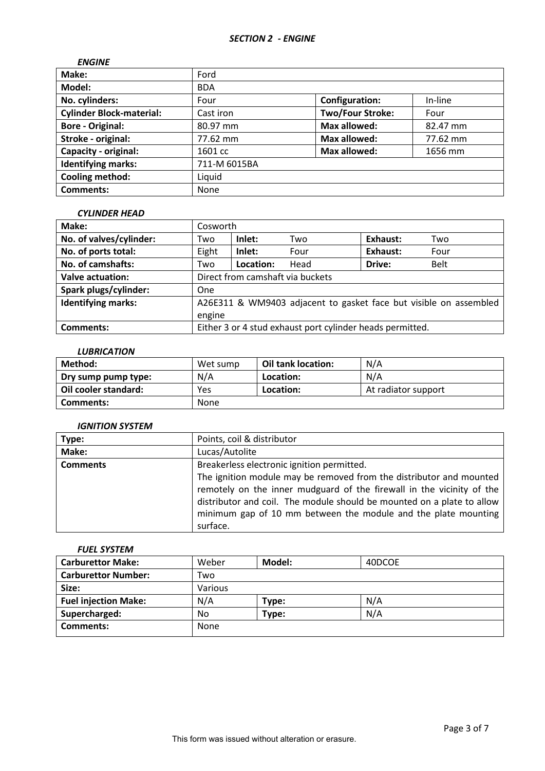| <b>ENGINE</b>                   |              |                         |          |
|---------------------------------|--------------|-------------------------|----------|
| Make:                           | Ford         |                         |          |
| Model:                          | <b>BDA</b>   |                         |          |
| No. cylinders:                  | Four         | <b>Configuration:</b>   | In-line  |
| <b>Cylinder Block-material:</b> | Cast iron    | <b>Two/Four Stroke:</b> | Four     |
| <b>Bore - Original:</b>         | 80.97 mm     | <b>Max allowed:</b>     | 82.47 mm |
| Stroke - original:              | 77.62 mm     | <b>Max allowed:</b>     | 77.62 mm |
| Capacity - original:            | 1601 cc      | <b>Max allowed:</b>     | 1656 mm  |
| <b>Identifying marks:</b>       | 711-M 6015BA |                         |          |
| <b>Cooling method:</b>          | Liquid       |                         |          |
| <b>Comments:</b>                | None         |                         |          |

#### *CYLINDER HEAD*

| Make:                     | Cosworth                         |           |                                                           |                 |                                                                   |
|---------------------------|----------------------------------|-----------|-----------------------------------------------------------|-----------------|-------------------------------------------------------------------|
| No. of valves/cylinder:   | Two                              | Inlet:    | Two                                                       | <b>Exhaust:</b> | Two                                                               |
| No. of ports total:       | Eight                            | Inlet:    | Four                                                      | <b>Exhaust:</b> | Four                                                              |
| No. of camshafts:         | Two                              | Location: | Head                                                      | Drive:          | <b>Belt</b>                                                       |
| <b>Valve actuation:</b>   | Direct from camshaft via buckets |           |                                                           |                 |                                                                   |
| Spark plugs/cylinder:     | One                              |           |                                                           |                 |                                                                   |
| <b>Identifying marks:</b> |                                  |           |                                                           |                 | A26E311 & WM9403 adjacent to gasket face but visible on assembled |
|                           | engine                           |           |                                                           |                 |                                                                   |
| Comments:                 |                                  |           | Either 3 or 4 stud exhaust port cylinder heads permitted. |                 |                                                                   |

## *LUBRICATION*

| Method:              | Wet sump | Oil tank location: | N/A                 |
|----------------------|----------|--------------------|---------------------|
| Dry sump pump type:  | N/A      | Location:          | N/A                 |
| Oil cooler standard: | Yes      | Location:          | At radiator support |
| Comments:            | None     |                    |                     |

# *IGNITION SYSTEM*

| Type:           | Points, coil & distributor                                                                                                                                                                                                                                                               |
|-----------------|------------------------------------------------------------------------------------------------------------------------------------------------------------------------------------------------------------------------------------------------------------------------------------------|
| Make:           | Lucas/Autolite                                                                                                                                                                                                                                                                           |
| <b>Comments</b> | Breakerless electronic ignition permitted.                                                                                                                                                                                                                                               |
|                 | The ignition module may be removed from the distributor and mounted<br>remotely on the inner mudguard of the firewall in the vicinity of the<br>distributor and coil. The module should be mounted on a plate to allow<br>minimum gap of 10 mm between the module and the plate mounting |
|                 | surface.                                                                                                                                                                                                                                                                                 |

## *FUEL SYSTEM*

| <b>Carburettor Make:</b>    | Weber   | Model: | 40DCOE |
|-----------------------------|---------|--------|--------|
| <b>Carburettor Number:</b>  | Two     |        |        |
| Size:                       | Various |        |        |
| <b>Fuel injection Make:</b> | N/A     | Type:  | N/A    |
| Supercharged:               | No      | Type:  | N/A    |
| <b>Comments:</b>            | None    |        |        |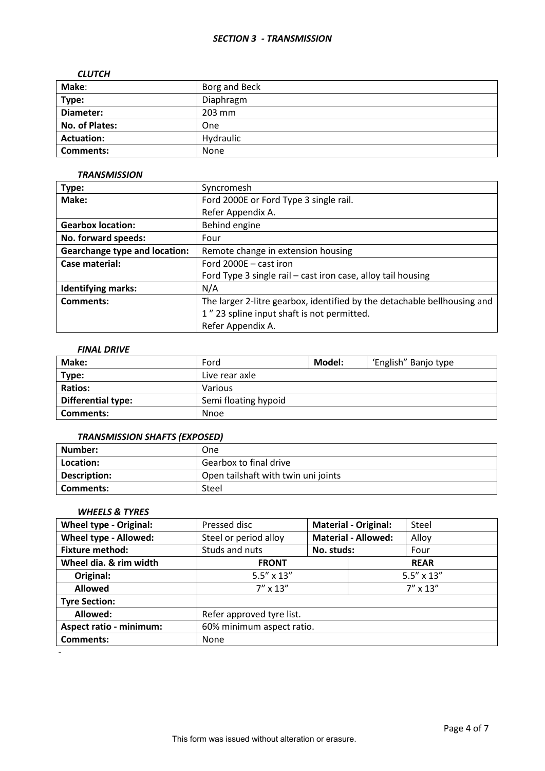## *SECTION 3 - TRANSMISSION*

### *CLUTCH*

| Make:             | Borg and Beck |
|-------------------|---------------|
| Type:             | Diaphragm     |
| Diameter:         | 203 mm        |
| No. of Plates:    | One           |
| <b>Actuation:</b> | Hydraulic     |
| <b>Comments:</b>  | None          |

### *TRANSMISSION*

| Type:                                | Syncromesh                                                               |  |  |
|--------------------------------------|--------------------------------------------------------------------------|--|--|
| Make:                                | Ford 2000E or Ford Type 3 single rail.                                   |  |  |
|                                      | Refer Appendix A.                                                        |  |  |
| <b>Gearbox location:</b>             | Behind engine                                                            |  |  |
| No. forward speeds:                  | Four                                                                     |  |  |
| <b>Gearchange type and location:</b> | Remote change in extension housing                                       |  |  |
| Case material:                       | Ford 2000E - cast iron                                                   |  |  |
|                                      | Ford Type 3 single rail – cast iron case, alloy tail housing             |  |  |
| <b>Identifying marks:</b>            | N/A                                                                      |  |  |
| Comments:                            | The larger 2-litre gearbox, identified by the detachable bellhousing and |  |  |
|                                      | 1" 23 spline input shaft is not permitted.                               |  |  |
|                                      | Refer Appendix A.                                                        |  |  |

# *FINAL DRIVE*

| Make:                     | Ford                 | Model: | 'English" Banjo type |
|---------------------------|----------------------|--------|----------------------|
| Type:                     | Live rear axle       |        |                      |
| <b>Ratios:</b>            | Various              |        |                      |
| <b>Differential type:</b> | Semi floating hypoid |        |                      |
| Comments:                 | <b>Nnoe</b>          |        |                      |

## *TRANSMISSION SHAFTS (EXPOSED)*

| Number:      | One                                 |
|--------------|-------------------------------------|
| Location:    | Gearbox to final drive              |
| Description: | Open tailshaft with twin uni joints |
| Comments:    | Steel                               |

## *WHEELS & TYRES*

| <b>Wheel type - Original:</b>  | Pressed disc              | <b>Material - Original:</b> |                            | Steel               |  |
|--------------------------------|---------------------------|-----------------------------|----------------------------|---------------------|--|
| Wheel type - Allowed:          | Steel or period alloy     |                             | <b>Material - Allowed:</b> | Alloy               |  |
| <b>Fixture method:</b>         | Studs and nuts            | No. studs:                  |                            | Four                |  |
| Wheel dia. & rim width         | <b>FRONT</b>              |                             |                            | <b>REAR</b>         |  |
| Original:                      | $5.5'' \times 13''$       |                             |                            | $5.5'' \times 13''$ |  |
| <b>Allowed</b>                 | $7'' \times 13''$         |                             | $7'' \times 13''$          |                     |  |
| <b>Tyre Section:</b>           |                           |                             |                            |                     |  |
| Allowed:                       | Refer approved tyre list. |                             |                            |                     |  |
| <b>Aspect ratio - minimum:</b> | 60% minimum aspect ratio. |                             |                            |                     |  |
| <b>Comments:</b>               | None                      |                             |                            |                     |  |
|                                |                           |                             |                            |                     |  |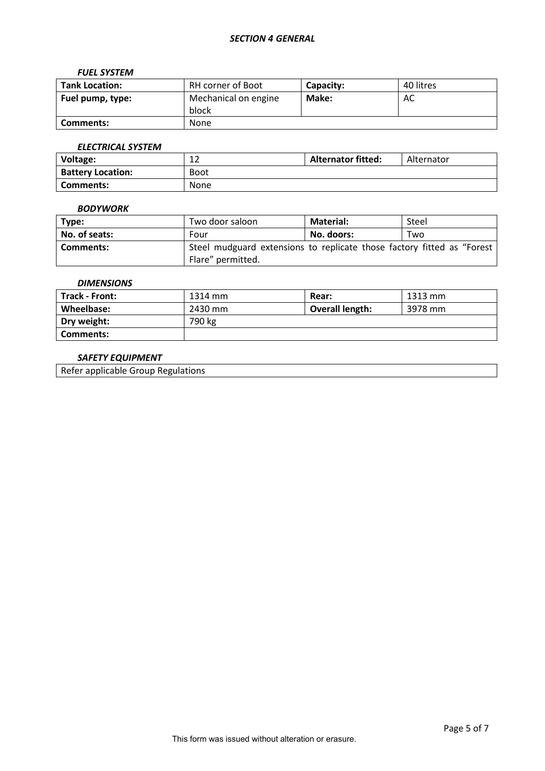### *FUEL SYSTEM*

| <b>Tank Location:</b> | RH corner of Boot             | Capacity: | 40 litres |
|-----------------------|-------------------------------|-----------|-----------|
| Fuel pump, type:      | Mechanical on engine<br>block | Make:     | AC        |
| Comments:             | None                          |           |           |

## *ELECTRICAL SYSTEM*

| <b>Voltage:</b>          | $\sim$<br>∸∸ | <b>Alternator fitted:</b> | Alternator |
|--------------------------|--------------|---------------------------|------------|
| <b>Battery Location:</b> | <b>Boot</b>  |                           |            |
| Comments:                | None         |                           |            |

### *BODYWORK*

| Type:         | Two door saloon                                                        | <b>Material:</b> | Steel |
|---------------|------------------------------------------------------------------------|------------------|-------|
| No. of seats: | Four                                                                   | No. doors:       | Two   |
| Comments:     | Steel mudguard extensions to replicate those factory fitted as "Forest |                  |       |
|               | Flare" permitted.                                                      |                  |       |

### *DIMENSIONS*

| <b>Track - Front:</b> | 1314 mm | <b>Rear:</b>           | 1313 mm |
|-----------------------|---------|------------------------|---------|
| Wheelbase:            | 2430 mm | <b>Overall length:</b> | 3978 mm |
| Dry weight:           | 790 kg  |                        |         |
| Comments:             |         |                        |         |

## *SAFETY EQUIPMENT*

Refer applicable Group Regulations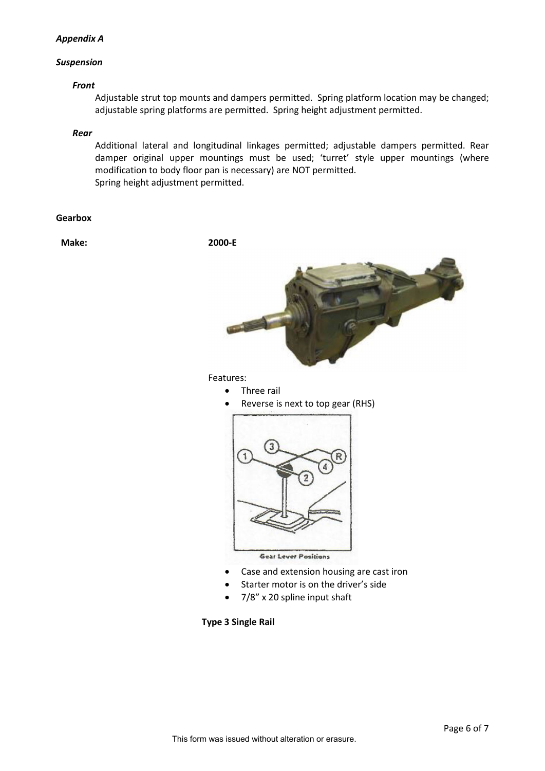## *Appendix A*

## *Suspension*

### *Front*

Adjustable strut top mounts and dampers permitted. Spring platform location may be changed; adjustable spring platforms are permitted. Spring height adjustment permitted.

#### *Rear*

Additional lateral and longitudinal linkages permitted; adjustable dampers permitted. Rear damper original upper mountings must be used; 'turret' style upper mountings (where modification to body floor pan is necessary) are NOT permitted. Spring height adjustment permitted.

#### **Gearbox**

**Make: 2000-E**



Features:

- Three rail
- Reverse is next to top gear (RHS)



- Case and extension housing are cast iron
- Starter motor is on the driver's side
- 7/8" x 20 spline input shaft

**Type 3 Single Rail**